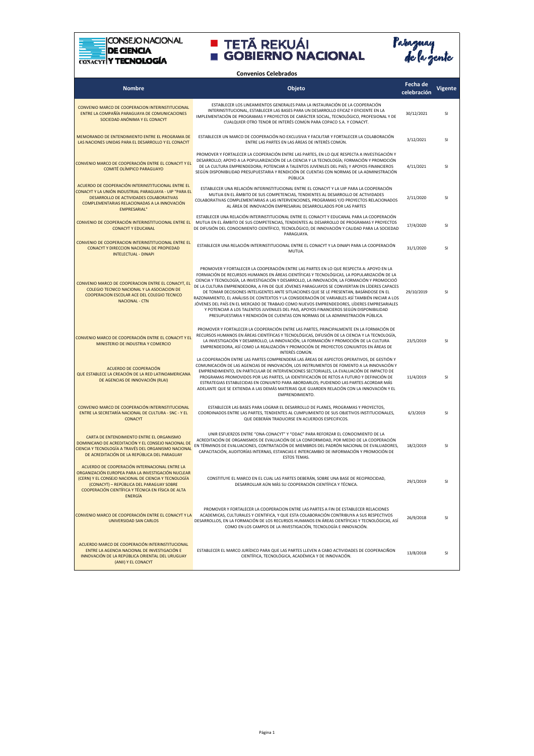



**Convenios Celebrados**

| <b>Nombre</b>                                                                                                                                                                                                                                                                   | Objeto                                                                                                                                                                                                                                                                                                                                                                                                                                                                                                                                                                                                                                                                                                                                                                                                                                                        | Fecha de<br>celebración | Vigente       |
|---------------------------------------------------------------------------------------------------------------------------------------------------------------------------------------------------------------------------------------------------------------------------------|---------------------------------------------------------------------------------------------------------------------------------------------------------------------------------------------------------------------------------------------------------------------------------------------------------------------------------------------------------------------------------------------------------------------------------------------------------------------------------------------------------------------------------------------------------------------------------------------------------------------------------------------------------------------------------------------------------------------------------------------------------------------------------------------------------------------------------------------------------------|-------------------------|---------------|
| CONVENIO MARCO DE COOPERACION INTERINSTITUCIONAL<br>ENTRE LA COMPAÑÍA PARAGUAYA DE COMUNICACIONES<br>SOCIEDAD ANÓNIMA Y EL CONACYT                                                                                                                                              | ESTABLECER LOS LINEAMIENTOS GENERALES PARA LA INSTAURACIÓN DE LA COOPERACIÓN<br>INTERINSTITUCIONAL, ESTABLECER LAS BASES PARA UN DESARROLLO EFICAZ Y EFICIENTE EN LA<br>IMPLEMENTACIÓN DE PROGRAMAS Y PROYECTOS DE CARÁCTER SOCIAL, TECNOLÓGICO, PROFESIONAL Y DE<br>CUALQUIER OTRO TENOR DE INTERÉS COMÚN PARA COPACO S.A. Y CONACYT.                                                                                                                                                                                                                                                                                                                                                                                                                                                                                                                        | 30/12/2021              | SI            |
| MEMORANDO DE ENTENDIMIENTO ENTRE EL PROGRAMA DE<br>LAS NACIONES UNIDAS PARA EL DESARROLLO Y EL CONACYT                                                                                                                                                                          | ESTABLECER UN MARCO DE COOPERACIÓN NO EXCLUSIVA Y FACILITAR Y FORTALECER LA COLABORACIÓN<br>ENTRE LAS PARTES EN LAS ÁREAS DE INTERÉS COMÚN.                                                                                                                                                                                                                                                                                                                                                                                                                                                                                                                                                                                                                                                                                                                   | 3/12/2021               | SI            |
| CONVENIO MARCO DE COOPERACIÓN ENTRE EL CONACYT Y EL<br>COMITÉ OLÍMPICO PARAGUAYO                                                                                                                                                                                                | PROMOVER Y FORTALECER LA COOPERACIÓN ENTRE LAS PARTES, EN LO QUE RESPECTA A INVESTIGACIÓN Y<br>DESARROLLO; APOYO A LA POPULARIZACIÓN DE LA CIENCIA Y LA TECNOLOGÍA; FORMACIÓN Y PROMOCIÓN<br>DE LA CULTURA EMPRENDEDORA; POTENCIAR A TALENTOS JUVENILES DEL PAÍS; Y APOYOS FINANCIEROS<br>SEGÚN DISPONIBILIDAD PRESUPUESTARIA Y RENDICIÓN DE CUENTAS CON NORMAS DE LA ADMINISTRACIÓN<br>PÚBLICA                                                                                                                                                                                                                                                                                                                                                                                                                                                               | 4/11/2021               | SI            |
| ACUERDO DE COOPERACIÓN INTERINSTITUCIONAL ENTRE EL<br>CONACYT Y LA UNIÓN INDUSTRIAL PARAGUAYA - UIP "PARA EL<br>DESARROLLO DE ACTIVIDADES COLABORATIVAS<br>COMPLEMENTARIAS RELACIONADAS A LA INNOVACIÓN<br><b>EMPRESARIAL"</b>                                                  | ESTABLECER UNA RELACIÓN INTERINSTITUCIONAL ENTRE EL CONACYT Y LA UIP PARA LA COOPERACIÓN<br>MUTUA EN EL ÁMBITO DE SUS COMPETENCIAS, TENDIENTES AL DESARROLLO DE ACTIVIDADES<br>COLABORATIVAS COMPLEMENTARIAS A LAS INTERVENCIONES, PROGRAMAS Y/O PROYECTOS RELACIONADOS<br>AL ÁREA DE INNOVACIÓN EMPRESARIAL DESARROLLADOS POR LAS PARTES                                                                                                                                                                                                                                                                                                                                                                                                                                                                                                                     | 2/11/2020               | SI            |
| <b>CONACYT Y EDUCANAL</b>                                                                                                                                                                                                                                                       | ESTABLECER UNA RELACIÓN INTERINSTITUCIONAL ENTRE EL CONACYT Y EDUCANAL PARA LA COOPERACIÓN<br>CONVENIO DE COOPERACIÓN INTERINSTITUCIONAL ENTRE EL MUTUA EN EL ÁMBITO DE SUS COMPETENCIAS, TENDIENTES AL DESARROLLO DE PROGRAMAS Y PROYECTOS<br>DE DIFUSIÓN DEL CONOCIMIENTO CIENTÍFICO, TECNOLÓGICO, DE INNOVACIÓN Y CALIDAD PARA LA SOCIEDAD<br>PARAGUAYA.                                                                                                                                                                                                                                                                                                                                                                                                                                                                                                   | 17/4/2020               | SI            |
| CONVENIO DE COOPERACION INTERINSTITUCIONAL ENTRE EL<br>CONACYT Y DIRECCION NACIONAL DE PROPIEDAD<br><b>INTELECTUAL - DINAPI</b>                                                                                                                                                 | ESTABLECER UNA RELACIÓN INTERINSTITUCIONAL ENTRE EL CONACYT Y LA DINAPI PARA LA COOPERACIÓN<br>MUTUA.                                                                                                                                                                                                                                                                                                                                                                                                                                                                                                                                                                                                                                                                                                                                                         | 31/1/2020               | <sup>SI</sup> |
| CONVENIO MARCO DE COOPERACION ENTRE EL CONACYT, EL<br>COLEGIO TECNICO NACIONAL Y LA ASOCIACION DE<br>COOPERACION ESCOLAR ACE DEL COLEGIO TECNICO<br><b>NACIONAL - CTN</b>                                                                                                       | PROMOVER Y FORTALECER LA COOPERACIÓN ENTRE LAS PARTES EN LO QUE RESPECTA A: APOYO EN LA<br>FORMACIÓN DE RECURSOS HUMANOS EN ÁREAS CIENTÍFICAS Y TECNOLÓGICAS, LA POPULARIZACIÓN DE LA<br>CIENCIA Y TECNOLOGÍA, LA INVESTIGACIÓN Y DESARROLLO, LA INNOVACIÓN, LA FORMACIÓN Y PROMOCIOÓ<br>DE LA CULTURA EMPRENDEDORA, A FIN DE QUE JÓVENES PARAGUAYOS SE CONVIERTAN EN LÍDERES CAPACES<br>DE TOMAR DECISIONES INTELIGENTES ANTE SITUACIONES QUE SE LE PRESENTAN, BASÁNDOSE EN EL<br>RAZONAMIENTO, EL ANÁLISIS DE CONTEXTOS Y LA CONSIDERACIÓN DE VARIABLES ASÍ TAMBIÉN INICIAR A LOS<br>JÓVENES DEL PAÍS EN EL MERCADO DE TRABAJO COMO NUEVOS EMPRENDEDORES, LÍDERES EMPRESARIALES<br>Y POTENCIAR A LOS TALENTOS JUVENILES DEL PAIS, APOYOS FINANCIEROS SEGÚN DISPONIBILIDAD<br>PRESUPUESTARIA Y RENDICIÓN DE CUENTAS CON NORMAS DE LA ADMINISTRACIÓN PÚBLICA. | 29/10/2019              | SI            |
| CONVENIO MARCO DE COOPERACIÓN ENTRE EL CONACYT Y EL<br>MINISTERIO DE INDUSTRIA Y COMERCIO                                                                                                                                                                                       | PROMOVER Y FORTALECER LA COOPERACIÓN ENTRE LAS PARTES, PRINCIPALMENTE EN LA FORMACIÓN DE<br>RECURSOS HUMANOS EN ÁREAS CIENTÍFICAS Y TECNOLÓGICAS, DIFUSIÓN DE LA CIENCIA Y LA TECNOLOGÍA,<br>LA INVESTIGACIÓN Y DESARROLLO, LA INNOVACIÓN, LA FORMACIÓN Y PROMOCIÓN DE LA CULTURA<br>EMPRENDEDORA, ASÍ COMO LA REALIZACIÓN Y PROMOCIÓN DE PROYECTOS CONJUNTOS EN ÁREAS DE<br>INTERÉS COMÚN.                                                                                                                                                                                                                                                                                                                                                                                                                                                                   | 23/5/2019               | SI            |
| ACUERDO DE COOPERACIÓN<br>QUE ESTABLECE LA CREACIÓN DE LA RED LATINOAMERICANA<br>DE AGENCIAS DE INNOVACIÓN (RLAI)                                                                                                                                                               | LA COOPERACIÓN ENTRE LAS PARTES COMPRENDERÁ LAS ÁREAS DE ASPECTOS OPERATIVOS, DE GESTIÓN Y<br>COMUNICACIÓN DE LAS AGENCIAS DE INNOVACIÓN, LOS INSTRUMENTOS DE FOMENTO A LA INNOVACIÓN Y<br>EMPRENDIMIENTO, EN PARTICULAR DE INTERVENCIONES SECTORIALES, LA EVALUACIÓN DE IMPACTO DE<br>PROGRAMAS PROMOVIDOS POR LAS PARTES, LA IDENTIFICACIÓN DE RETOS A FUTURO Y DEFINICIÓN DE<br>ESTRATEGIAS ESTABLECIDAS EN CONJUNTO PARA ABORDARLOS; PUDIENDO LAS PARTES ACORDAR MÁS<br>ADELANTE QUE SE EXTIENDA A LAS DEMÁS MATERIAS QUE GUARDEN RELACIÓN CON LA INNOVACIÓN Y EL<br>EMPRENDIMIENTO.                                                                                                                                                                                                                                                                      | 11/4/2019               | SI            |
| CONVENIO MARCO DE COOPERACIÓN INTERINSTITUCIONAL<br>ENTRE LA SECRETARÍA NACIONAL DE CULTURA - SNC - Y EL<br><b>CONACYT</b>                                                                                                                                                      | ESTABLECER LAS BASES PARA LOGRAR EL DESARROLLO DE PLANES, PROGRAMAS Y PROYECTOS,<br>COORDINADOS ENTRE LAS PARTES, TENDIENTES AL CUMPLIMIENTO DE SUS OBJETIVOS INSTITUCIONALES,<br>QUE DEBERÁN TRADUCIRSE EN ACUERDOS ESPECIFICOS.                                                                                                                                                                                                                                                                                                                                                                                                                                                                                                                                                                                                                             | 6/3/2019                | SI            |
| CARTA DE ENTENDIMIENTO ENTRE EL ORGANISMO<br>DOMINICANO DE ACREDITACIÓN Y EL CONSEJO NACIONAL DE<br>CIENCIA Y TECNOLOGÍA A TRAVÉS DEL ORGANISMO NACIONAL<br>DE ACREDITACIÓN DE LA REPÚBLICA DEL PARAGUAY                                                                        | UNIR ESFUERZOS ENTRE "ONA-CONACYT" Y "ODAC" PARA REFORZAR EL CONOCIMIENTO DE LA<br>ACREDITACIÓN DE ORGANISMOS DE EVALUACIÓN DE LA CONFORMIDAD, POR MEDIO DE LA COOPERACIÓN<br>EN TÉRMINOS DE EVALUACIONES, CONTRATACIÓN DE MIEMBROS DEL PADRÓN NACIONAL DE EVALUADORES,<br>CAPACITACIÓN, AUDITORÍAS INTERNAS, ESTANCIAS E INTERCAMBIO DE INFORMACIÓN Y PROMOCIÓN DE<br>ESTOS TEMAS.                                                                                                                                                                                                                                                                                                                                                                                                                                                                           | 18/2/2019               | SI            |
| ACUERDO DE COOPERACIÓN INTERNACIONAL ENTRE LA<br>ORGANIZACIÓN EUROPEA PARA LA INVESTIGACIÓN NUCLEAR<br>(CERN) Y EL CONSEJO NACIONAL DE CIENCIA Y TECNOLOGÍA<br>(CONACYT) - REPÚBLICA DEL PARAGUAY SOBRE<br>COOPERACIÓN CIENTÍFICA Y TÉCNICA EN FÍSICA DE ALTA<br><b>ENERGÍA</b> | CONSTITUYE EL MARCO EN EL CUAL LAS PARTES DEBERÁN, SOBRE UNA BASE DE RECIPROCIDAD,<br>DESARROLLAR AÚN MÁS SU COOPERACIÓN CIENTÍFICA Y TÉCNICA.                                                                                                                                                                                                                                                                                                                                                                                                                                                                                                                                                                                                                                                                                                                | 29/1/2019               | SI            |
| CONVENIO MARCO DE COOPERACIÓN ENTRE EL CONACYT Y LA<br>UNIVERSIDAD SAN CARLOS                                                                                                                                                                                                   | PROMOVER Y FORTALECER LA COOPERACION ENTRE LAS PARTES A FIN DE ESTABLECER RELACIONES<br>ACADEMICAS, CULTURALES Y CIENTIFICA, Y QUE ESTA COLABORACIÓN CONTRIBUYA A SUS RESPECTIVOS<br>DESARROLLOS, EN LA FORMACIÓN DE LOS RECURSOS HUMANOS EN ÁREAS CIENTÍFICAS Y TECNOLÓGICAS, ASÍ<br>COMO EN LOS CAMPOS DE LA INVESTIGACIÓN, TECNOLOGÍA E INNOVACIÓN.                                                                                                                                                                                                                                                                                                                                                                                                                                                                                                        | 26/9/2018               | <sup>SI</sup> |
| ACUERDO MARCO DE COOPERACIÓN INTERINSTITUCIONAL<br>ENTRE LA AGENCIA NACIONAL DE INVESTIGACIÓN E<br>INNOVACIÓN DE LA REPÚBLICA ORIENTAL DEL URUGUAY<br>(ANII) Y EL CONACYT                                                                                                       | ESTABLECER EL MARCO JURÍDICO PARA QUE LAS PARTES LLEVEN A CABO ACTIVIDADES DE COOPERACIÑON<br>CIENTÍFICA, TECNOLÓGICA, ACADÉMICA Y DE INNOVACIÓN.                                                                                                                                                                                                                                                                                                                                                                                                                                                                                                                                                                                                                                                                                                             | 13/8/2018               | SI            |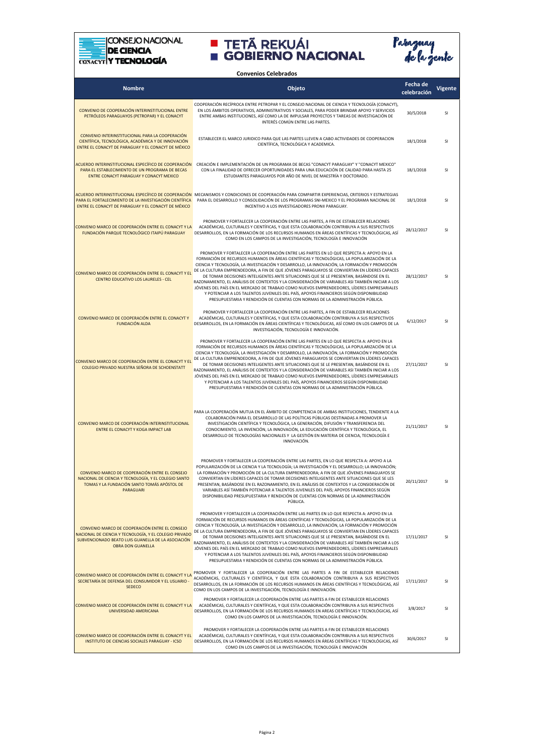



| <b>Convenios Celebrados</b>                                                                                                                                                                |                                                                                                                                                                                                                                                                                                                                                                                                                                                                                                                                                                                                                                                                                                                                                                                                                                                               |                         |                |  |  |
|--------------------------------------------------------------------------------------------------------------------------------------------------------------------------------------------|---------------------------------------------------------------------------------------------------------------------------------------------------------------------------------------------------------------------------------------------------------------------------------------------------------------------------------------------------------------------------------------------------------------------------------------------------------------------------------------------------------------------------------------------------------------------------------------------------------------------------------------------------------------------------------------------------------------------------------------------------------------------------------------------------------------------------------------------------------------|-------------------------|----------------|--|--|
| <b>Nombre</b>                                                                                                                                                                              | Objeto                                                                                                                                                                                                                                                                                                                                                                                                                                                                                                                                                                                                                                                                                                                                                                                                                                                        | Fecha de<br>celebración | <b>Vigente</b> |  |  |
| CONVENIO DE COOPERACIÓN INTERINSTITUCIONAL ENTRE<br>PETRÓLEOS PARAGUAYOS (PETROPAR) Y EL CONACYT                                                                                           | COOPERACIÓN RECÍPROCA ENTRE PETROPAR Y EL CONSEJO NACIONAL DE CIENCIA Y TECNOLOGÍA (CONACYT),<br>EN LOS ÁMBITOS OPERATIVOS, ADMINISTRATIVOS Y SOCIALES, PARA PODER BRINDAR APOYO Y SERVICIOS<br>ENTRE AMBAS INSTITUCIONES, ASÍ COMO LA DE IMPULSAR PROYECTOS Y TAREAS DE INVESTIGACIÓN DE<br>INTERÉS COMÚN ENTRE LAS PARTES.                                                                                                                                                                                                                                                                                                                                                                                                                                                                                                                                  | 30/5/2018               | SI             |  |  |
| CONVENIO INTERINSTITUCIONAL PARA LA COOPERACIÓN<br>CIENTÍFICA, TECNOLÓGICA, ACADÉMICA Y DE INNOVACIÓN<br>ENTRE EL CONACYT DE PARAGUAY Y EL CONACYT DE MÉXICO                               | ESTABLECER EL MARCO JURIDICO PARA QUE LAS PARTES LLEVEN A CABO ACTIVIDADES DE COOPERACION<br>CIENTÍFICA, TECNOLÓGICA Y ACADEMICA.                                                                                                                                                                                                                                                                                                                                                                                                                                                                                                                                                                                                                                                                                                                             | 18/1/2018               | SI             |  |  |
| ACUERDO INTERINSTITUCIONAL ESPECÍFICO DE COOPERACIÓN<br>PARA EL ESTABLECIMIENTO DE UN PROGRAMA DE BECAS<br>ENTRE CONACYT PARAGUAY Y CONACYT MEXICO                                         | CREACIÓN E IMPLEMENTACIÓN DE UN PROGRAMA DE BECAS "CONACYT PARAGUAY" Y "CONACYT MEXICO"<br>CON LA FINALIDAD DE OFRECER OPORTUNIDADES PARA UNA EDUCACIÓN DE CALIDAD PARA HASTA 25<br>ESTUDIANTES PARAGUAYOS POR AÑO DE NIVEL DE MAESTRÍA Y DOCTORADO.                                                                                                                                                                                                                                                                                                                                                                                                                                                                                                                                                                                                          | 18/1/2018               | SI             |  |  |
| PARA EL FORTALECIMIENTO DE LA INVESTIGACIÓN CIENTÍFICA<br>ENTRE EL CONACYT DE PARAGUAY Y EL CONACYT DE MÉXICO                                                                              | <mark>ACUERDO INTERINSTITUCIONAL ESPECÍFICO DE COOPERACIÓN</mark> MECANISMOS Y CONDICIONES DE COOPERACIÓN PARA COMPARTIR EXPERIENCIAS, CRITERIOS Y ESTRATEGIAS<br>PARA EL DESARROLLO Y CONSOLIDACIÓN DE LOS PROGRAMAS SNI-MEXICO Y EL PROGRAMA NACIONAL DE<br>INCENTIVO A LOS INVESTIGADORES PRONII PARAGUAY.                                                                                                                                                                                                                                                                                                                                                                                                                                                                                                                                                 | 18/1/2018               | <b>SI</b>      |  |  |
| CONVENIO MARCO DE COOPERACIÓN ENTRE EL CONACYT Y LA<br>FUNDACIÓN PARQUE TECNOLÓGICO ITAIPÚ PARAGUAY                                                                                        | PROMOVER Y FORTALECER LA COOPERACIÓN ENTRE LAS PARTES, A FIN DE ESTABLECER RELACIONES<br>ACADÉMICAS, CULTURALES Y CIENTÍFICAS, Y QUE ESTA COLABORACIÓN CONTRIBUYA A SUS RESPECTIVOS<br>DESARROLLOS, EN LA FORMACIÓN DE LOS RECURSOS HUMANOS EN ÁREAS CIENTÍFICAS Y TECNOLÓGICAS, ASÍ<br>COMO EN LOS CAMPOS DE LA INVESTIGACIÓN, TECNOLOGÍA E INNOVACIÓN                                                                                                                                                                                                                                                                                                                                                                                                                                                                                                       | 28/12/2017              | <b>SI</b>      |  |  |
| CONVENIO MARCO DE COOPERACIÓN ENTRE EL CONACYT Y EL<br>CENTRO EDUCATIVO LOS LAURELES - CEL                                                                                                 | PROMOVER Y FORTALECER LA COOPERACIÓN ENTRE LAS PARTES EN LO QUE RESPECTA A: APOYO EN LA<br>FORMACIÓN DE RECURSOS HUMANOS EN ÁREAS CIENTÍFICAS Y TECNOLÓGICAS, LA POPULARIZACIÓN DE LA<br>CIENCIA Y TECNOLOGÍA, LA INVESTIGACIÓN Y DESARROLLO, LA INNOVACIÓN, LA FORMACIÓN Y PROMOCIÓN<br>DE LA CULTURA EMPRENDEDORA, A FIN DE QUE JÓVENES PARAGUAYOS SE CONVIERTAN EN LÍDERES CAPACES<br>DE TOMAR DECISIONES INTELIGENTES ANTE SITUACIONES QUE SE LE PRESENTAN, BASÁNDOSE EN EL<br>RAZONAMIENTO, EL ANÁLISIS DE CONTEXTOS Y LA CONSIDERACIÓN DE VARIABLES ASI TAMBIÉN INICIAR A LOS<br>JÓVENES DEL PAÍS EN EL MERCADO DE TRABAJO COMO NUEVOS EMPRENDEDORES, LÍDERES EMPRESARIALES<br>Y POTENCIAR A LOS TALENTOS JUVENILES DEL PAÍS, APOYOS FINANCIEROS SEGÚN DISPONIBILIDAD<br>PRESUPUESTARIA Y RENDICIÓN DE CUENTAS CON NORMAS DE LA ADMINISTRACIÓN PÚBLICA. | 28/12/2017              | SI             |  |  |
| CONVENIO MARCO DE COOPERACIÓN ENTRE EL CONACYT Y<br><b>FUNDACIÓN ALDA</b>                                                                                                                  | PROMOVER Y FORTALECER LA COOPERACIÓN ENTRE LAS PARTES, A FIN DE ESTABLECER RELACIONES<br>ACADÉMICAS, CULTURALES Y CIENTÍFICAS, Y QUE ESTA COLABORACIÓN CONTRIBUYA A SUS RESPECTIVOS<br>DESARROLLOS, EN LA FORMACIÓN EN ÁREAS CIENTÍFICAS Y TECNOLÓGICAS, ASÍ COMO EN LOS CAMPOS DE LA<br>INVESTIGACIÓN, TECNOLOGÍA E INNOVACIÓN.                                                                                                                                                                                                                                                                                                                                                                                                                                                                                                                              | 6/12/2017               | SI             |  |  |
| CONVENIO MARCO DE COOPERACIÓN ENTRE EL CONACYT Y EL<br>COLEGIO PRIVADO NUESTRA SEÑORA DE SCHOENSTATT                                                                                       | PROMOVER Y FORTALECER LA COOPERACIÓN ENTRE LAS PARTES EN LO QUE RESPECTA A: APOYO EN LA<br>FORMACIÓN DE RECURSOS HUMANOS EN ÁREAS CIENTÍFICAS Y TECNOLÓGICAS, LA POPULARIZACIÓN DE LA<br>CIENCIA Y TECNOLOGÍA, LA INVESTIGACIÓN Y DESARROLLO, LA INNOVACIÓN, LA FORMACIÓN Y PROMOCIÓN<br>DE LA CULTURA EMPRENDEDORA, A FIN DE QUE JÓVENES PARAGUAYOS SE CONVIERTAN EN LÍDERES CAPACES<br>DE TOMAR DECISIONES INTELIGENTES ANTE SITUACIONES QUE SE LE PRESENTAN, BASÁNDOSE EN EL<br>RAZONAMIENTO, EL ANÁLISIS DE CONTEXTOS Y LA CONSIDERACIÓN DE VARIABLES ASI TAMBIÉN INICIAR A LOS<br>JÓVENES DEL PAÍS EN EL MERCADO DE TRABAJO COMO NUEVOS EMPRENDEDORES, LÍDERES EMPRESARIALES<br>Y POTENCIAR A LOS TALENTOS JUVENILES DEL PAÍS, APOYOS FINANCIEROS SEGÚN DISPONIBILIDAD<br>PRESUPUESTARIA Y RENDICIÓN DE CUENTAS CON NORMAS DE LA ADMINISTRACIÓN PÚBLICA. | 27/11/2017              | <b>SI</b>      |  |  |
| CONVENIO MARCO DE COOPERACIÓN INTERINSTITUCIONAL<br><b>ENTRE EL CONACYT Y KOGA IMPACT LAB</b>                                                                                              | PARA LA COOPERACIÓN MUTUA EN EL ÁMBITO DE COMPETENCIA DE AMBAS INSTITUCIONES, TENDIENTE A LA<br>COLABORACIÓN PARA EL DESARROLLO DE LAS POLÍTICAS PÚBLICAS DESTINADAS A PROMOVER LA<br>INVESTIGACIÓN CIENTÍFICA Y TECNOLÓGICA, LA GENERACIÓN, DIFUSIÓN Y TRANSFERENCIA DEL<br>CONOCIMIENTO, LA INVENCIÓN, LA INNOVACIÓN, LA EDUCACIÓN CIENTÍFICA Y TECNOLÓGICA, EL<br>DESARROLLO DE TECNOLOGÍAS NACIONALES Y LA GESTIÓN EN MATERIA DE CIENCIA, TECNOLOGÍA E<br>INNOVACIÓN.                                                                                                                                                                                                                                                                                                                                                                                     | 21/11/2017              | <b>SI</b>      |  |  |
| CONVENIO MARCO DE COOPERACIÓN ENTRE EL CONSEJO<br>NACIONAL DE CIENCIA Y TECNOLOGÍA, Y EL COLEGIO SANTO<br>TOMAS Y LA FUNDACIÓN SANTO TOMÁS APÓSTOL DE<br>PARAGUARI                         | PROMOVER Y FORTALECER LA COOPERACIÓN ENTRE LAS PARTES, EN LO QUE RESPECTA A: APOYO A LA<br>POPULARIZACIÓN DE LA CIENCIA Y LA TECNOLOGÍA; LA INVESTIGACIÓN Y EL DESARROLLO; LA INNOVACIÓN;<br>LA FORMACION Y PROMOCION DE LA CULTURA EMPRENDEDORA; A FIN DE QUE JOVENES PARAGUAYOS SE<br>CONVIERTAN EN LÍDERES CAPACES DE TOMAR DECISIONES INTELIGENTES ANTE SITUACIONES QUE SE LES<br>PRESENTAN, BASÁNDOSE EN EL RAZONAMIENTO, EN EL ANÁLISIS DE CONTEXTOS Y LA CONSIDERACIÓN DE<br>VARIABLES ASÍ TAMBIÉN POTENCIAR A TALENTOS JUVENILES DEL PAÍS; APOYOS FINANCIEROS SEGÚN<br>DISPONIBILIDAD PRESUPUESTARIA Y RENDICIÓN DE CUENTAS CON NORMAS DE LA ADMINISTRACIÓN<br>PÚBLICA.                                                                                                                                                                               | 20/11/2017              | SI             |  |  |
| CONVENIO MARCO DE COOPERACIÓN ENTRE EL CONSEJO<br>NACIONAL DE CIENCIA Y TECNOLOGÍA, Y EL COLEGIO PRIVADO<br>SUBVENCIONADO BEATO LUIS GUANELLA DE LA ASOCIACIÓN<br><b>OBRA DON GUANELLA</b> | PROMOVER Y FORTALECER LA COOPERACIÓN ENTRE LAS PARTES EN LO QUE RESPECTA A: APOYO EN LA<br>FORMACIÓN DE RECURSOS HUMANOS EN ÁREAS CIENTÍFICAS Y TECNOLÓGICAS, LA POPULARIZACIÓN DE LA<br>CIENCIA Y TECNOLOGÍA, LA INVESTIGACIÓN Y DESARROLLO, LA INNOVACIÓN, LA FORMACIÓN Y PROMOCIÓN<br>DE LA CULTURA EMPRENDEDORA, A FIN DE QUE JÓVENES PARAGUAYOS SE CONVIERTAN EN LÍDERES CAPACES<br>DE TOMAR DECISIONES INTELIGENTES ANTE SITUACIONES QUE SE LE PRESENTAN, BASÁNDOSE EN EL<br>RAZONAMIENTO, EL ANÁLISIS DE CONTEXTOS Y LA CONSIDERACIÓN DE VARIABLES ASÍ TAMBIÉN INICIAR A LOS<br>JÓVENES DEL PAÍS EN EL MERCADO DE TRABAJO COMO NUEVOS EMPRENDEDORES, LÍDERES EMPRESARIALES<br>Y POTENCIAR A LOS TALENTOS JUVENILES DEL PAÍS, APOYOS FINANCIEROS SEGÚN DISPONIBILIDAD<br>PRESUPUESTARIA Y RENDICIÓN DE CUENTAS CON NORMAS DE LA ADMINISTRACIÓN PÚBLICA. | 17/11/2017              | SI             |  |  |
| CONVENIO MARCO DE COOPERACIÓN ENTRE EL CONACYT Y LA<br>SECRETARÍA DE DEFENSA DEL CONSUMIDOR Y EL USUARIO -<br><b>SEDECO</b>                                                                | PROMOVER Y FORTALECER LA COOPERACIÓN ENTRE LAS PARTES A FIN DE ESTABLECER RELACIONES<br>ACADÉMICAS, CULTURALES Y CIENTÍFICA, Y QUE ESTA COLABORACIÓN CONTRIBUYA A SUS RESPECTIVOS<br>DESARROLLOS, EN LA FORMACIÓN DE LOS RECURSOS HUMANOS EN ÁREAS CIENTÍFICAS Y TECNOLÓGICAS, ASÍ<br>COMO EN LOS CAMPOS DE LA INVESTIGACIÓN, TECNOLOGÍA E INNOVACIÓN.                                                                                                                                                                                                                                                                                                                                                                                                                                                                                                        | 17/11/2017              | SI             |  |  |
| CONVENIO MARCO DE COOPERACIÓN ENTRE EL CONACYT Y LA<br>UNIVERSIDAD AMERICANA                                                                                                               | PROMOVER Y FORTALECER LA COOPERACIÓN ENTRE LAS PARTES A FIN DE ESTABLECER RELACIONES<br>ACADÉMICAS, CULTURALES Y CIENTÍFICAS, Y QUE ESTA COLABORACIÓN CONTRIBUYA A SUS RESPECTIVOS<br>DESARROLLOS, EN LA FORMACIÓN DE LOS RECURSOS HUMANOS EN AREAS CIENTÍFICAS Y TECNOLÓGICAS, ASÍ<br>COMO EN LOS CAMPOS DE LA INVESTIGACIÓN, TECNOLOGÍA E INNOVACIÓN.                                                                                                                                                                                                                                                                                                                                                                                                                                                                                                       | 3/8/2017                | SI             |  |  |
| CONVENIO MARCO DE COOPERACIÓN ENTRE EL CONACYT Y EL<br>INSTITUTO DE CIENCIAS SOCIALES PARAGUAY - ICSO                                                                                      | PROMOVER Y FORTALECER LA COOPERACIÓN ENTRE LAS PARTES A FIN DE ESTABLECER RELACIONES<br>ACADÉMICAS, CULTURALES Y CIENTÍFICAS, Y QUE ESTA COLABORACIÓN CONTRIBUYA A SUS RESPECTIVOS<br>DESARROLLOS, EN LA FORMACIÓN DE LOS RECURSOS HUMANOS EN ÁREAS CIENTÍFICAS Y TECNOLÓGICAS, ASÍ<br>COMO EN LOS CAMPOS DE LA INVESTIGACIÓN, TECNOLOGÍA E INNOVACIÓN                                                                                                                                                                                                                                                                                                                                                                                                                                                                                                        | 30/6/2017               | SI             |  |  |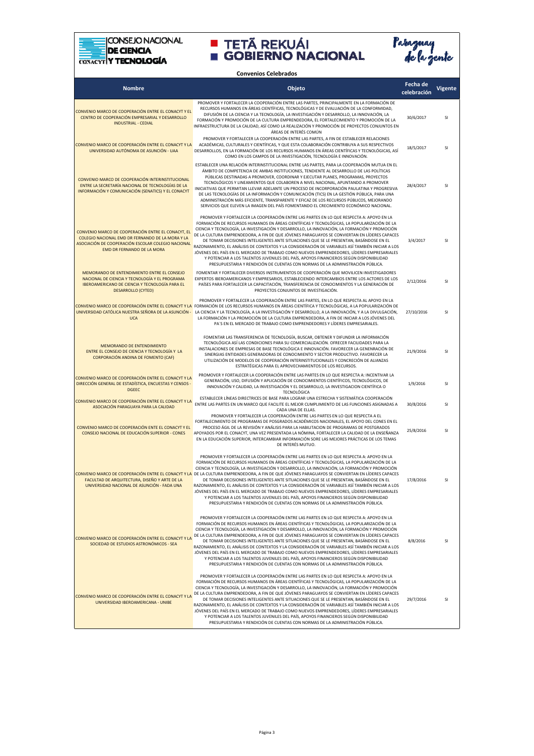



| <b>Convenios Celebrados</b>                                                                                                                                                                |                                                                                                                                                                                                                                                                                                                                                                                                                                                                                                                                                                                                                                                                                                                                                                                                                                                                                                                                |                         |                |  |  |
|--------------------------------------------------------------------------------------------------------------------------------------------------------------------------------------------|--------------------------------------------------------------------------------------------------------------------------------------------------------------------------------------------------------------------------------------------------------------------------------------------------------------------------------------------------------------------------------------------------------------------------------------------------------------------------------------------------------------------------------------------------------------------------------------------------------------------------------------------------------------------------------------------------------------------------------------------------------------------------------------------------------------------------------------------------------------------------------------------------------------------------------|-------------------------|----------------|--|--|
| <b>Nombre</b>                                                                                                                                                                              | Objeto                                                                                                                                                                                                                                                                                                                                                                                                                                                                                                                                                                                                                                                                                                                                                                                                                                                                                                                         | Fecha de<br>celebración | <b>Vigente</b> |  |  |
| CONVENIO MARCO DE COOPERACIÓN ENTRE EL CONACYT Y EL<br>CENTRO DE COOPERACIÓN EMPRESARIAL Y DESARROLLO<br><b>INDUSTRIAL - CEDIAL</b>                                                        | PROMOVER Y FORTALECER LA COOPERACIÓN ENTRE LAS PARTES, PRINCIPALMENTE EN LA FORMACIÓN DE<br>RECURSOS HUMANOS EN ÁREAS CIENTÍFICAS, TECNOLÓGICAS Y DE EVALUACIÓN DE LA CONFORMIDAD,<br>DIFUSIÓN DE LA CIENCIA Y LA TECNOLOGÍA, LA INVESTIGACIÓN Y DESARROLLO, LA INNOVACIÓN, LA<br>FORMACIÓN Y PROMOCIÓN DE LA CULTURA EMPRENDEDORA, EL FORTALECIMIENTO Y PROMOCIÓN DE LA<br>INFRAESTRUCTURA DE LA CALIDAD, ASÍ COMO LA REALIZACIÓN Y PROMOCIÓN DE PROYECTOS CONJUNTOS EN<br>ÁREAS DE INTERÉS COMÚN                                                                                                                                                                                                                                                                                                                                                                                                                             | 30/6/2017               | <sub>SI</sub>  |  |  |
| CONVENIO MARCO DE COOPERACIÓN ENTRE EL CONACYT Y LA<br>UNIVERSIDAD AUTÓNOMA DE ASUNCIÓN - UAA                                                                                              | PROMOVER Y FORTALECER LA COOPERACIÓN ENTRE LAS PARTES, A FIN DE ESTABLECER RELACIONES<br>ACADÉMICAS, CULTURALES Y CIENTÍFICAS, Y QUE ESTA COLABORACIÓN CONTRIBUYA A SUS RESPECTIVOS<br>DESARROLLOS, EN LA FORMACIÓN DE LOS RECURSOS HUMANOS EN ÁREAS CIENTÍFICAS Y TECNOLÓGICAS, ASÍ<br>COMO EN LOS CAMPOS DE LA INVESTIGACIÓN, TECNOLOGÍA E INNOVACIÓN.                                                                                                                                                                                                                                                                                                                                                                                                                                                                                                                                                                       | 18/5/2017               | SI             |  |  |
| CONVENIO MARCO DE COOPERACIÓN INTERINSTITUCIONAL<br>ENTRE LA SECRETARÍA NACIONAL DE TECNOLOGÍAS DE LA<br>INFORMACIÓN Y COMUNICACIÓN (SENATICS) Y EL CONACYT                                | ESTABLECER UNA RELACIÓN INTERINSTITUCIONAL ENTRE LAS PARTES, PARA LA COOPERACIÓN MUTUA EN EL<br>ÁMBITO DE COMPETENCIA DE AMBAS INSTITUCIONES, TENDIENTE AL DESARROLLO DE LAS POLÍTICAS<br>PÚBLICAS DESTINADAS A PROMOVER, COORDINAR Y EJECUTAR PLANES, PROGRAMAS, PROYECTOS<br>TECNOLÓGICOS Y LINEAMIENTOS QUE COLABOREN A NIVEL NACIONAL, APUNTANDO A PROMOVER<br>INICIATIVAS QUE PERMITAN LLEVAR ADELANTE UN PROCESO DE INCORPORACIÓN PAULATINA Y PROGRESIVA<br>DE LAS TECNOLOGÍAS DE LA INFORMACIÓN Y COMUNICACIÓN (TICS) EN LA GESTIÓN PÚBLICA, PARA UNA<br>ADMINISTRACIÓN MÁS EFICIENTE, TRANSPARENTE Y EFICAZ DE LOS RECURSOS PÚBLICOS, MEJORANDO<br>SERVICIOS QUE ELEVEN LA IMAGEN DEL PAÍS FOMENTANDO EL CRECIMIENTO ECONÓMICO NACIONAL.                                                                                                                                                                               | 28/4/2017               | SI             |  |  |
| CONVENIO MARCO DE COOPERACIÓN ENTRE EL CONACYT, EL<br>COLEGIO NACIONAL EMD DR FERNANDO DE LA MORA Y LA<br>ASOCIACIÓN DE COOPERACIÓN ESCOLAR COLEGIO NACIONAL<br>EMD DR FERNANDO DE LA MORA | PROMOVER Y FORTALECER LA COOPERACIÓN ENTRE LAS PARTES EN LO QUE RESPECTA A: APOYO EN LA<br>FORMACIÓN DE RECURSOS HUMANOS EN ÁREAS CIENTÍFICAS Y TECNOLÓGICAS, LA POPULARIZACIÓN DE LA<br>CIENCIA Y TECNOLOGÍA, LA INVESTIGACIÓN Y DESARROLLO, LA INNOVACIÓN, LA FORMACIÓN Y PROMOCIÓN<br>DE LA CULTURA EMPRENDEDORA, A FIN DE QUE JÓVENES PARAGUAYOS SE CONVIERTAN EN LÍDERES CAPACES<br>DE TOMAR DECISIONES INTELIGENTES ANTE SITUACIONES QUE SE LE PRESENTAN, BASÁNDOSE EN EL<br>RAZONAMIENTO, EL ANÁLISIS DE CONTEXTOS Y LA CONSIDERACIÓN DE VARIABLES ASÍ TAMBIÉN INICIAR A LOS<br>JÓVENES DEL PAÍS EN EL MERCADO DE TRABAJO COMO NUEVOS EMPRENDEDORES, LÍDERES EMPRESARIALES<br>Y POTENCIAR A LOS TALENTOS JUVENILES DEL PAÍS, APOYOS FINANCIEROS SEGÚN DISPONIBILIDAD<br>PRESUPUESTARIA Y RENDICIÓN DE CUENTAS CON NORMAS DE LA ADMINISTRACIÓN PÚBLICA.                                                                  | 3/4/2017                | SI             |  |  |
| MEMORANDO DE ENTENDIMIENTO ENTRE EL CONSEJO<br>NACIONAL DE CIENCIA Y TECNOLOGÍA Y EL PROGRAMA<br><b>IBEROAMERICANO DE CIENCIA Y TECNOLOGÍA PARA EL</b><br><b>DESARROLLO (CYTED)</b>        | FOMENTAR Y FORTALECER DIVERSOS INSTRUMENTOS DE COOPERACIÓN QUE MOVILICEN INVESTIGADORES<br>EXPERTOS IBEROAMERICANOS Y EMPRESARIOS, ESTABLECIENDO INTERCAMBIOS ENTRE LOS ACTORES DE LOS<br>PAÍSES PARA FORTALECER LA CAPACITACIÓN, TRANSFERENCIA DE CONOCIMIENTOS Y LA GENERACIÓN DE<br>PROYECTOS CONJUNTOS DE INVESTIGACIÓN.                                                                                                                                                                                                                                                                                                                                                                                                                                                                                                                                                                                                   | 2/12/2016               | SI             |  |  |
| <b>UCA</b>                                                                                                                                                                                 | PROMOVER Y FORTALECER LA COOPERACIÓN ENTRE LAS PARTES, EN LO QUE RESPECTA AL APOYO EN LA<br>CONVENIO MARCO DE COOPERACIÓN ENTRE EL CONACYT Y LA FORMACIÓN DE LOS RECURSOS HUMANOS EN ÁREAS CIENTÍFICA Y TECNOLÓGICAS, A LA POPULARIZACIÓN DE<br>UNIVERSIDAD CATÓLICA NUESTRA SEÑORA DE LA ASUNCIÓN - LA CIENCIA Y LA TECNOLOGÍA, A LA INVESTIGACIÓN Y DESARROLLO, A LA INNOVACIÓN, Y A LA DIVULGACIÓN,<br>LA FORMACIÓN Y LA PROMOCIÓN DE LA CULTURA EMPRENDEDORA, A FIN DE INICIAR A LOS JÓVENES DEL<br>PA'S EN EL MERCADO DE TRABAJO COMO EMPRENDEDORES Y LÍDERES EMPRESARIALES.                                                                                                                                                                                                                                                                                                                                              | 27/10/2016              | SI             |  |  |
| MEMORANDO DE ENTENDIMIENTO<br>ENTRE EL CONSEJO DE CIENCIA Y TECNOLOGÍA Y LA<br>CORPORACIÓN ANDINA DE FOMENTO (CAF)                                                                         | FOMENTAR LAS TRANSFERENCIA DE TECNOLOGÍA, BUSCAR, OBTENER Y DIFUNDIR LA INFORMACIÓN<br>TECNOLÓGICA ASÍ LAS CONDICIONES PARA SU COMERCIALIZACIÓN. OFRECER FACILIDADES PARA LA<br>INSTALACIONES DE EMPRESAS DE BASE TECNOLÓGICA E INNOVACIÓN. FAVORECER LA GENENRACIÓN DE<br>SINERGIAS ENTIDADES GENERADORAS DE CONOCIMIENTO Y SECTOR PRODUCTIVO. FAVORECER LA<br>UTILIZACIÓN DE MODELOS DE COOPERACIÓN INTERINSTITUCIONALES Y CONCRECIÓN DE ALIANZAS<br>ESTRATÉGICAS PARA EL APROVECHAMIENTOS DE LOS RECURSOS.                                                                                                                                                                                                                                                                                                                                                                                                                  | 21/9/2016               | SI             |  |  |
| CONVENIO MARCO DE COOPERACIÓN ENTRE EL CONACYT Y LA<br>DIRECCIÓN GENERAL DE ESTADÍSTICA, ENCUESTAS Y CENSOS -<br><b>DGEEC</b>                                                              | PROMOVER Y FORTALECER LA COOPERACIÓN ENTRE LAS PARTES EN LO QUE RESPECTA A: INCENTIVAR LA<br>GENERACIÓN, USO, DIFUSIÓN Y APLICACIÓN DE CONOCIMIENTOS CIENTÍFICOS, TECNOLÓGICOS, DE<br>INNOVACIÓN Y CALIDAD, LA INVESTIGACIÓN Y EL DESARROLLO, LA INVESTIGACION CIENTÍFICA O<br>TECNOLÓGICA                                                                                                                                                                                                                                                                                                                                                                                                                                                                                                                                                                                                                                     | 1/9/2016                | SI             |  |  |
| CONVENIO MARCO DE COOPERACIÓN ENTRE EL CONACYT Y LA<br>ASOCIACIÓN PARAGUAYA PARA LA CALIDAD                                                                                                | ESTABLECER LÍNEAS DIRECTRICES DE BASE PARA LOGRAR UNA ESTRECHA Y SISTEMÁTICA COOPERACIÓN<br>ENTRE LAS PARTES EN UN MARCO QUE FACILITE EL MEJOR CUMPLIMIENTO DE LAS FUNCIONES ASIGNADAS A<br>CADA UNA DE ELLAS.<br>PROMOVER Y FORTALECER LA COOPERACIÓN ENTRE LAS PARTES EN LO QUE RESPECTA A EL                                                                                                                                                                                                                                                                                                                                                                                                                                                                                                                                                                                                                                | 30/8/2016               | SI             |  |  |
| CONVENIO MARCO DE COOPERACIÓN ENTE EL CONACYT Y EL<br>CONSEJO NACIONAL DE EDUCACIÓN SUPERIOR - CONES                                                                                       | FORTALECIMIENTO DE PROGRAMAS DE POSGRADOS ACADÉMICOS NACIONALES, EL APOYO DEL CONES EN EL<br>PROCESO ÁGIL DE LA REVISIÓN Y ANÁLISIS PARA LA HABILITACION DE PROGRAMAS DE POSTGRADOS<br>APOYADOS POR EL CONACYT, UNA VEZ PRESENTADA LA NÓMINA, FORTALECER LA CALIDAD DE LA ENSEÑANZA<br>EN LA EDUCACIÓN SUPERIOR. INTERCAMBIAR INFORMACIÓN SORE LAS MEJORES PRÁCTICAS DE LOS TEMAS<br>DE INTERÉS MUTUO.                                                                                                                                                                                                                                                                                                                                                                                                                                                                                                                         | 25/8/2016               | SI             |  |  |
| FACULTAD DE ARQUITECTURA, DISEÑO Y ARTE DE LA<br>UNIVERSIDAD NACIONAL DE ASUNCIÓN - FADA UNA                                                                                               | PROMOVER Y FORTALECER LA COOPERACIÓN ENTRE LAS PARTES EN LO QUE RESPECTA A: APOYO EN LA<br>FORMACIÓN DE RECURSOS HUMANOS EN ÁREAS CIENTÍFICAS Y TECNOLÓGICAS, LA POPULARIZACIÓN DE LA<br>CIENCIA Y TECNOLOGÍA, LA INVESTIGACIÓN Y DESARROLLO, LA INNOVACIÓN, LA FORMACIÓN Y PROMOCIÓN<br><mark>CONVENIO MARCO DE COOPERACIÓN ENTRE EL CONACYT Y LA</mark> DE LA CULTURA EMPRENDEDORA, A FIN DE QUE JÓVENES PARAGUAYOS SE CONVIERTAN EN LÍDERES CAPACES<br>DE TOMAR DECISIONES INTELIGENTES ANTE SITUACIONES QUE SE LE PRESENTAN, BASÁNDOSE EN EL<br>RAZONAMIENTO, EL ANÁLISIS DE CONTEXTOS Y LA CONSIDERACIÓN DE VARIABLES ASÍ TAMBIÉN INICIAR A LOS<br>JÓVENES DEL PAÍS EN EL MERCADO DE TRABAJO COMO NUEVOS EMPRENDEDORES, LÍDERES EMPRESARIALES<br>Y POTENCIAR A LOS TALENTOS JUVENILES DEL PAÍS, APOYOS FINANCIEROS SEGÚN DISPONIBILIDAD<br>PRESUPUESTARIA Y RENDICIÓN DE CUENTAS CON NORMAS DE LA ADMINISTRACIÓN PÚBLICA. | 17/8/2016               | SI             |  |  |
| CONVENIO MARCO DE COOPERACIÓN ENTRE EL CONACYT Y LA<br>SOCIEDAD DE ESTUDIOS ASTRONÓMICOS - SEA                                                                                             | PROMOVER Y FORTALECER LA COOPERACIÓN ENTRE LAS PARTES EN LO QUE RESPECTA A: APOYO EN LA<br>FORMACIÓN DE RECURSOS HUMANOS EN ÁREAS CIENTÍFICAS Y TECNOLÓGICAS, LA POPULARIZACIÓN DE LA<br>CIENCIA Y TECNOLOGÍA, LA INVESTIGACIÓN Y DESARROLLO, LA INNOVACIÓN, LA FORMACIÓN Y PROMOCIÓN<br>DE LA CULTURA EMPRENDEDORA, A FIN DE QUE JÓVENES PARAGUAYOS SE CONVIERTAN EN LÍDERES CAPACES<br>DE TOMAR DECISIONES INTELIGENTES ANTE SITUACIONES QUE SE LE PRESENTAN, BASÁNDOSE EN EL<br>RAZONAMIENTO, EL ANÁLISIS DE CONTEXTOS Y LA CONSIDERACIÓN DE VARIABLES ASÍ TAMBIÉN INICIAR A LOS<br>JÓVENES DEL PAÍS EN EL MERCADO DE TRABAJO COMO NUEVOS EMPRENDEDORES, LÍDERES EMPRESARIALES<br>Y POTENCIAR A LOS TALENTOS JUVENILES DEL PAÍS, APOYOS FINANCIEROS SEGÚN DISPONIBILIDAD<br>PRESUPUESTARIA Y RENDICIÓN DE CUENTAS CON NORMAS DE LA ADMINISTRACIÓN PÚBLICA.                                                                  | 8/8/2016                | SI             |  |  |
| CONVENIO MARCO DE COOPERACIÓN ENTRE EL CONACYT Y LA<br>UNIVERSIDAD IBEROAMERICANA - UNIBE                                                                                                  | PROMOVER Y FORTALECER LA COOPERACIÓN ENTRE LAS PARTES EN LO QUE RESPECTA A: APOYO EN LA<br>FORMACIÓN DE RECURSOS HUMANOS EN ÁREAS CIENTÍFICAS Y TECNOLÓGICAS, LA POPULARIZACIÓN DE LA<br>CIENCIA Y TECNOLOGÍA, LA INVESTIGACIÓN Y DESARROLLO, LA INNOVACIÓN, LA FORMACIÓN Y PROMOCIÓN<br>DE LA CULTURA EMPRENDEDORA, A FIN DE QUE JÓVENES PARAGUAYOS SE CONVIERTAN EN LÍDERES CAPACES<br>DE TOMAR DECISIONES INTELIGENTES ANTE SITUACIONES QUE SE LE PRESENTAN, BASÁNDOSE EN EL<br>RAZONAMIENTO, EL ANÁLISIS DE CONTEXTOS Y LA CONSIDERACIÓN DE VARIABLES ASÍ TAMBIÉN INICIAR A LOS<br>JÓVENES DEL PAÍS EN EL MERCADO DE TRABAJO COMO NUEVOS EMPRENDEDORES, LÍDERES EMPRESARIALES<br>Y POTENCIAR A LOS TALENTOS JUVENILES DEL PAÍS, APOYOS FINANCIEROS SEGÚN DISPONIBILIDAD<br>PRESUPUESTARIA Y RENDICIÓN DE CUENTAS CON NORMAS DE LA ADMINISTRACIÓN PÚBLICA.                                                                  | 29/7/2016               | SI             |  |  |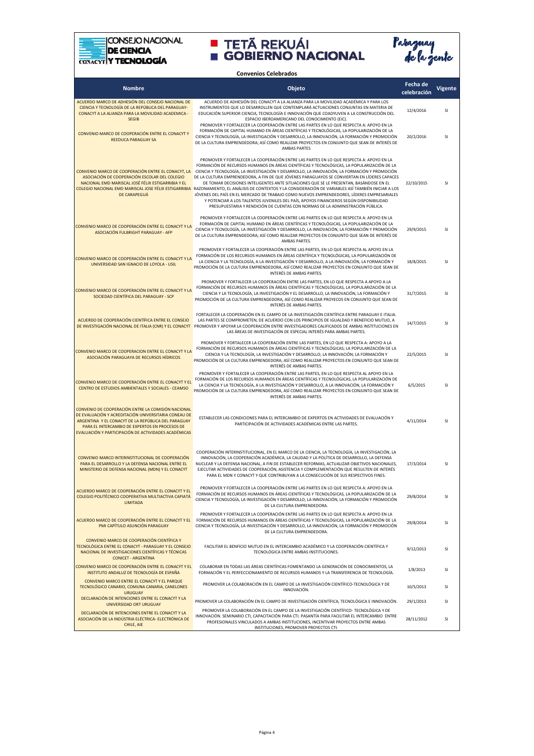

## **E TETÃ REKUÁI E GOBIERNO NACIONAL**



**Nombre Objeto Fecha de celebración Vigente Convenios Celebrados** ACUERDO MARCO DE ADHESIÓN DEL CONSEJO NACIONAL DE CIENCIA Y TECNOLOGÍA DE LA REPÚBLICA DEL PARAGUAY-CONACYT A LA ALIANZA PARA LA MOVILIDAD ACADEMICA SEGIB ACUERDO DE ADHESIÓN DEL CONACYT A LA ALIANZA PARA LA MOVILIDAD ACADÉMICA Y PARA LOS INSTRUMENTOS QUE LO DESARROLLEN QUE CONTEMPLARÁ ACTUACIONES CONJUNTAS EN MATERIA DE EDUCACIÓN SUPERIOR CIENCIA, TECNOLOGÍA E INNOVACIÓN QUE COADYUVEN A LA CONSTRUCCIÓN DEL ESPACIO IBEROAMERICANO DEL CONOCIMIENTO (EIC). 12/4/2016 SI CONVENIO MARCO DE COOPERACIÓN ENTRE EL CONACYT Y REEDUCA PARAGUAY SA PROMOVER Y FORTALECER LA COOPERACIÓN ENTRE LAS PARTES EN LO QUE RESPECTA A: APOYO EN LA FORMACIÓN DE CAPITAL HUMANO EN ÁREAS CIENTÍFICAS Y TECNOLÓGICAS, LA POPULARIZACIÓN DE LA CIENCIA Y TECNOLOGÍA, LA INVESTIGACIÓN Y DESARROLLO, LA INNOVACIÓN, LA FORMACIÓN Y PROMOCIÓN DE LA CULTURA EMPRENDEDORA; ASÍ COMO REALIZAR PROYECTOS EN CONJUNTO QUE SEAN DE INTERÉS DE AMBAS PARTES 20/2/2016 SI <mark>CONVENIO MARCO DE COOPERACIÓN ENTRE EL CONACYT, LA C</mark>IENCIA Y TECNOLOGÍA, LA INVESTIGACIÓN Y DESARROLLO, LA INNOVACIÓN, LA FORMACIÓN Y PROMOCIÓN ASOCIACIÓN DE COOPERACIÓN ESCOLAR DEL COLEGIO NACIONAL EMD MARISCAL JOSÉ FÉLIX ESTIGARRIBIA Y EL COLEGIO NACIONAL EMD MARISCAL JOSE FÉLIX ESTIGARRIBIA DE CARAPEGUÁ PROMOVER Y FORTALECER LA COOPERACIÓN ENTRE LAS PARTES EN LO QUE RESPECTA A: APOYO EN LA FORMACIÓN DE RECURSOS HUMANOS EN ÁREAS CIENTÍFICAS Y TECNOLÓGICAS, LA POPULARIZACIÓN DE LA DE LA CULTURA EMPRENDEDORA, A FIN DE QUE JÓVENES PARAGUAYOS SE CONVIERTAN EN LÍDERES CAPACES DE TOMAR DECISIONES INTELIGENTES ANTE SITUACIONES QUE SE LE PRESENTAN, BASÁNDOSE EN EL RAZONAMIENTO, EL ANÁLISIS DE CONTEXTOS Y LA CONSIDERACIÓN DE VARIABLES ASÍ TAMBIÉN INICIAR A LOS JÓVENES DEL PAÍS EN EL MERCADO DE TRABAJO COMO NUEVOS EMPRENDEDORES, LÍDERES EMPRESARIALES Y POTENCIAR A LOS TALENTOS JUVENILES DEL PAÍS, APOYOS FINANCIEROS SEGÚN DISPONIBILIDAD PRESUPUESTARIA Y RENDICIÓN DE CUENTAS CON NORMAS DE LA ADMINISTRACIÓN PÚBLICA. 22/10/2015 SI CONVENIO MARCO DE COOPERACIÓN ENTRE EL CONACYT Y LA ASOCIACIÓN FULBRIGHT PARAGUAY - AFP PROMOVER Y FORTALECER LA COOPERACIÓN ENTRE LAS PARTES EN LO QUE RESPECTA A: APOYO EN LA FORMACIÓN DE CAPITAL HUMANO EN ÁREAS CIENTÍFICAS Y TECNOLÓGICAS, LA POPULARIZACIÓN DE LA CIENCIA Y TECNOLOGÍA, LA INVESTIGACIÓN Y DESARROLLO, LA INNOVACIÓN, LA FORMACIÓN Y PROMOCIÓN DE LA CULTURA EMPRENDEDORA; ASÍ COMO REALIZAR PROYECTOS EN CONJUNTO QUE SEAN DE INTERÉS DE AMBAS PARTES. 29/9/2015 SI CONVENIO MARCO DE COOPERACIÓN ENTRE EL CONACYT Y LA UNIVERSIDAD SAN IGNACIO DE LOYOLA - USIL PROMOVER Y FORTALECER LA COOPERACIÓN ENTRE LAS PARTES, EN LO QUE RESPECTA AL APOYO EN LA FORMACIÓN DE LOS RECURSOS HUMANOS EN ÁREAS CIENTÍFICA Y TECNOLÓGICAS, LA POPULARIZACIÓN DE LA CIENCIA Y LA TECNOLOGÍA, A LA INVESTIGACIÓN Y DESARROLLO, A LA INNOVACIÓN, LA FORMACIÓN Y<br>PROMOCIÓN DE LA CULTURA EMPRENDEDORA, ASÍ COMO REALIZAR PROYECTOS EN CONJUNTO QUE SEAN DE<br>INTERÉS DE ARTIFICA 18/8/2015 SI CONVENIO MARCO DE COOPERACIÓN ENTRE EL CONACYT Y LA SOCIEDAD CIENTÍFICA DEL PARAGUAY - SCP PROMOVER Y FORTALECER LA COOPERACIÓN ENTRE LAS PARTES, EN LO QUE RESPECTA A APOYO A LA FORMACIÓN DE RECURSOS HUMANOS EN ÁREAS CIENTÍFICAS Y TECNOLÓGICAS, LA POPULARIZACIÓN DE LA CIENCIA Y LA TECNOLOGÍA, LA INVESTIGACIÓN Y EL DESARROLLO, LA INNOVACIÓN, LA FORMACIÓN Y PROMOCIÓN DE LA CULTURA EMPRENDEDORA, ASÍ COMO REALIZAR PROYECOS EN CONJUNTO QUE SEAN DE INTERÉS DE AMBAS PARTES. 31/7/2015 SI ACUERDO DE COOPERACIÓN CIENTÍFICA ENTRE EL CONSEJO <mark>DE INVESTIGACIÓN NACIONAL DE ITALIA (CNR) Y EL CONACYT</mark> PROMOVER Y APOYAR LA COOPERACIÓN ENTRE INVESTIGADORES CALIFICADOS DE AMBAS INSTITUCIONES EN FORTALECER LA COOPERACIÓN EN EL CAMPO DE LA INVESTIGACIÓN CIENTÍFICA ENTRE PARAGUAY E ITALIA. LAS PARTES SE COMPROMETEN, DE ACUERDO CON LOS PRINCIPIOS DE IGUALDAD Y BENEFICIO MUTUO, A LAS ÁREAS DE INVESTIGACIÓN DE ESPECIAL INTERÉS PARA AMBAS PARTES. 14/7/2015 SI CONVENIO MARCO DE COOPERACION ENTRE EL CONACYT Y LA ASOCIACIÓN PARAGUAYA DE RECURSOS HÍDRICOS .<br>PROMOVER Y FORTALECER LA COOPERACIÓN ENTRE LAS PARTES, EN LO QUE RESPECTA A: APOYO A LA FORMACIÓN DE RECURSOS HUMANOS EN ÁREAS CIENTÍFICAS Y TECNOLÓGICAS; LA POPULARIZACIÓN DE LA CIENCIA Y LA TECNOLOGÍA, LA INVESTIGACIÓN Y DESARROLLO; LA INNOVACIÓN; LA FORMACIÓN Y PROMOCIÓN DE LA CULTURA EMPRENDEDORA; ASÍ COMO REALIZAR PROYECTOS EN CONJUNTO QUE SEAN DE INTERÉS DE AMBAS PARTES. 22/5/2015 SI CONVENIO MARCO DE COOPERACIÓN ENTRE EL CONACYT Y EL ESPARACIÓN DE LOS RECURSOS HUMANOS EN ÁREAS CIENTÍFICAS Y TECNOLÓGICAS, LA POPULARIZACIÓN DE ENTERO DE ESTUDIOS AMBIENTALES Y SOCIALES - CEAMSO PROMOCIÓN DE LA CULTURA EMPRENDEDORA, ASÍ COMO REALIZAR PROYECTOS EN CONJUNTO QUE SEAN DE<br>PROTRO DE ESTUDIOS AMBIENTALES Y SOCIALES - CEAMSO PROMOCIÓN DE LA CULTURA EMPREN PROMOVER Y FORTALECER LA COOPERACIÓN ENTRE LAS PARTES, EN LO QUE RESPECTA AL APOYO EN LA INTERÉS DE AMBAS PARTES.  $6/5/2015$  CI CONVENIO DE COOPERACIÓN ENTRE LA COMISIÓN NACIONAL DE EVALUACIÓN Y ACREDITACIÓN UNIVERSITARIA CONEAU DE ARGENTINA Y EL CONACYT DE LA REPÚBLICA DEL PARAGUAY PARA EL INTERCAMBIO DE EXPERTOS EN PROCESOS DE EVALUACIÓN Y PARTICIPACIÓN DE ACTIVIDADES ACADÉMICAS ESTABLECER LAS CONDICIONES PARA EL INTERCAMBIO DE EXPERTOS EN ACTIVIDADES DE EVALUACIÓN Y PARTICIPACIÓN DE ACTIVIDADES ACADÉMICAS ENTRE LAS PARTES. 4/11/2014 SI CONVENIO MARCO INTERINSTITUCIONAL DE COOPERACIÓN PARA EL DESARROLLO Y LA DEFENSA NACIONAL ENTRE EL MINISTERIO DE DEFENSA NACIONAL (MDN) Y EL CONACYT COOPERACIÓN INTERINSTITUCIONAL, EN EL MARCO DE LA CIENCIA, LA TECNOLOGÍA, LA INVESTIGACIÓN, LA INNOVACIÓN, LA COOPERACIÓN ACADÉMICA, LA CALIDAD Y LA POLÍTICA DE DESARROLLO, LA DEFENSA NUCLEAR Y LA DEFENSA NACIONAL, A FIN DE ESTABLECER REFORMAS, ACTUALIZAR OBJETIVOS NACIONALES, EJECUTAR ACTIVIDADES DE COOPERACIÓN, ASISTENCIA Y COMPLEMENTACIÓN QUE RESULTEN DE INTERÉS PARA EL MDN Y CONACYT Y QUE CONTRIBUYAN A LA CONSECUCIÓN DE SUS RESPECTIVOS FINES. 17/3/2014 SI ACUERDO MARCO DE COOPERACIÓN ENTRE EL CONACYT Y EL COLEGIO POLITÉCNICO COOPERATIVA MULTIACTIVA CAPIATÁ LIMITADA PROMOVER Y FORTALECER LA COOPERACIÓN ENTRE LAS PARTES EN LO QUE RESPECTA A: APOYO EN LA FORMACIÓN DE RECURSOS HUMANOS EN ÁREAS CIENTÍFICAS Y TECNOLÓGICAS, LA POPULARIZACIÓN DE LA CIENCIA Y TECNOLOGÍA, LA INVESTIGACIÓN Y DESARROLLO, LA INNOVACIÓN, LA FORMACIÓN Y PROMOCIÓN DE LA CULTURA EMPRENDEDORA. 29/8/2014 SI

ACUERDO MARCO DE COOPERACIÓN ENTRE EL CONACYT Y EL PMI CAPÍTULO ASUNCIÓN PARAGUAY PROMOVER Y FORTALECER LA COOPERACIÓN ENTRE LAS PARTES EN LO QUE RESPECTA A: APOYO EN LA FORMACIÓN DE RECURSOS HUMANOS EN ÁREAS CIENTÍFICAS Y TECNOLÓGICAS, LA POPULARIZACIÓN DE LA CIENCIA Y TECNOLOGÍA, LA INVESTIGACIÓN Y DESARROLLO, LA INNOVACIÓN, LA FORMACIÓN Y PROMOCIÓN DE LA CULTURA EMPRENDEDORA. 29/8/2014 SI CONVENIO MARCO DE COOPERACIÓN CIENTÍFICA Y TECNOLÓGICA ENTRE EL CONACYT - PARAGUAY Y EL CONSEJO NACIONAL DE INVESTIGACIONES CIENTÍFICAS Y TÉCNICAS CONICET - ARGENTINA FACILITAR EL BENFICIO MUTUO EN EL INTERCAMBIO ACADÉMICO Y LA COOPERACIÓN CIENTÍFICA Y 9/12/2013<br>TECNOLÓGICA ENTRE AMBAS INSTITUCIONES. CONVENIO MARCO DE COOPERACIÓN ENTRE EL CONACYT Y EL INSTITUTO ANDALUZ DE TECNOLOGÍA DE ESPAÑA COLABORAR EN TODAS LAS ÁREAS CIENTÍFICAS FOMENTANDO LA GENERACIÓN DE CONOCIMIENTOS, LA FORMACIÓN Y EL PERFECCIONAMIENTO DE RECURSOS HUMANOS Y LA TRANSFERENCIA DE TECNOLOGÍA. 1/8/2013 SI CONVENIO MARCO ENTRE EL CONACYT Y EL PARQUE TECNOLÓGICO CANARIO, COMUNA CANARIA, CANELONES URUGUAY PROMOVER LA COLABORACIÓN EN EL CAMPO DE LA INVESTIGACIÓN CIENTÍFICO-TECNOLÓGICA Y DE INNOVACIÓN. 10/5/2013 SI DECLARACIÓN DE INTENCIONES ENTRE EL CONACYT Y LA UNIVERSIDAD ORT URUGUAY PROMOVER LA COLABORACIÓN EN EL CAMPO DE INVESTIGACIÓN CIENTÍFICA, TECNOLÓGICA E INNOVACIÓN. 29/1/2013 SI DECLARACIÓN DE INTENCIONES ENTRE EL CONACYT Y LA ASOCIACIÓN DE LA INDÚSTRIA ELÉCTRICA- ELECTRÓNICA DE CHILE, AIE PROMOVER LA COLABORACIÓN EN EL CAMPO DE LA INVESTIGACIÓN CIENTÍFICO- TECNOLÓGICA Y DE INNOVACIÓN. SEMINARIO CTI, CAPACITACIÓN PARA CTI. PASANTÍA PARA FACILITAR EL INTERCAMBIO ENTRE PROFESIONALES VINCULADOS A AMBAS INSTITUCIONES, INCENTIVAR PROYECTOS ENTRE AMBAS 28/11/2012 SI

INSTITUCIONES, PROMOVER PROYECTOS CTI.